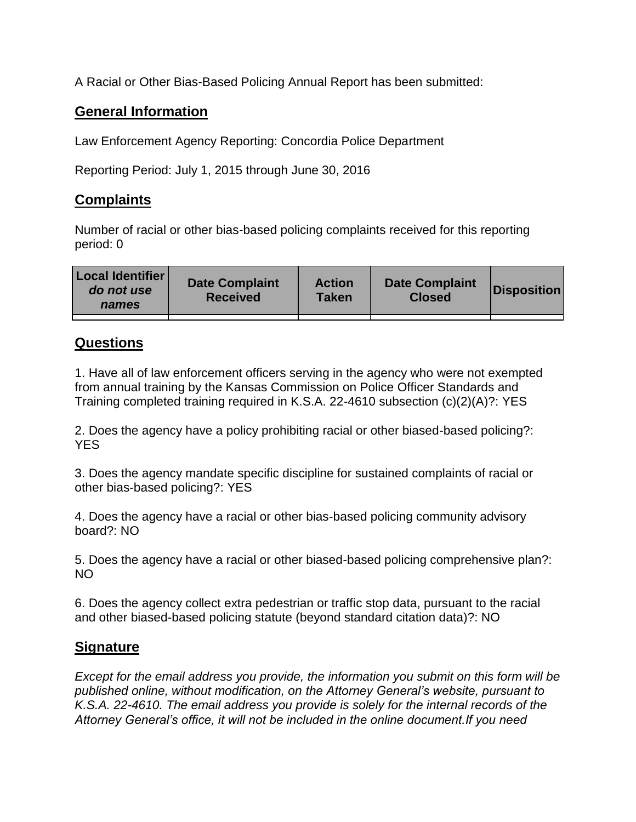A Racial or Other Bias-Based Policing Annual Report has been submitted:

## **General Information**

Law Enforcement Agency Reporting: Concordia Police Department

Reporting Period: July 1, 2015 through June 30, 2016

## **Complaints**

Number of racial or other bias-based policing complaints received for this reporting period: 0

| <b>Local Identifier</b><br>do not use<br>names | <b>Date Complaint</b><br><b>Received</b> | <b>Action</b><br><b>Taken</b> | <b>Date Complaint</b><br><b>Closed</b> | Disposition |
|------------------------------------------------|------------------------------------------|-------------------------------|----------------------------------------|-------------|
|                                                |                                          |                               |                                        |             |

## **Questions**

1. Have all of law enforcement officers serving in the agency who were not exempted from annual training by the Kansas Commission on Police Officer Standards and Training completed training required in K.S.A. 22-4610 subsection (c)(2)(A)?: YES

2. Does the agency have a policy prohibiting racial or other biased-based policing?: YES

3. Does the agency mandate specific discipline for sustained complaints of racial or other bias-based policing?: YES

4. Does the agency have a racial or other bias-based policing community advisory board?: NO

5. Does the agency have a racial or other biased-based policing comprehensive plan?: NO

6. Does the agency collect extra pedestrian or traffic stop data, pursuant to the racial and other biased-based policing statute (beyond standard citation data)?: NO

## **Signature**

*Except for the email address you provide, the information you submit on this form will be published online, without modification, on the Attorney General's website, pursuant to K.S.A. 22-4610. The email address you provide is solely for the internal records of the Attorney General's office, it will not be included in the online document.If you need*